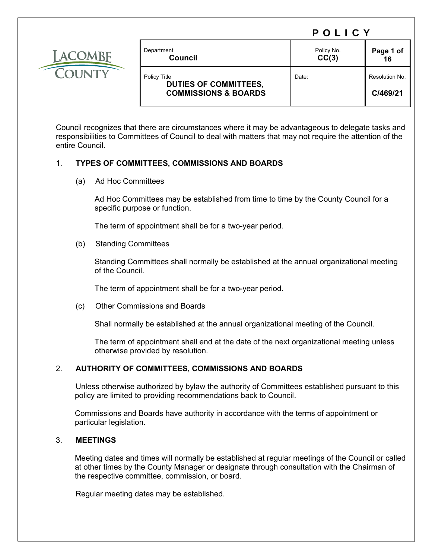

| Department<br>Council                        | Policy No.<br>CC(3) | Page 1 of<br>16 |
|----------------------------------------------|---------------------|-----------------|
| Policy Title<br><b>DUTIES OF COMMITTEES,</b> | Date:               | Resolution No.  |
| <b>COMMISSIONS &amp; BOARDS</b>              |                     | C/469/21        |

Council recognizes that there are circumstances where it may be advantageous to delegate tasks and responsibilities to Committees of Council to deal with matters that may not require the attention of the entire Council.

# 1. **TYPES OF COMMITTEES, COMMISSIONS AND BOARDS**

(a) Ad Hoc Committees

 Ad Hoc Committees may be established from time to time by the County Council for a specific purpose or function.

The term of appointment shall be for a two-year period.

(b) Standing Committees

 Standing Committees shall normally be established at the annual organizational meeting of the Council.

The term of appointment shall be for a two-year period.

(c) Other Commissions and Boards

Shall normally be established at the annual organizational meeting of the Council.

 The term of appointment shall end at the date of the next organizational meeting unless otherwise provided by resolution.

# 2. **AUTHORITY OF COMMITTEES, COMMISSIONS AND BOARDS**

 Unless otherwise authorized by bylaw the authority of Committees established pursuant to this policy are limited to providing recommendations back to Council.

Commissions and Boards have authority in accordance with the terms of appointment or particular legislation.

# 3. **MEETINGS**

Meeting dates and times will normally be established at regular meetings of the Council or called at other times by the County Manager or designate through consultation with the Chairman of the respective committee, commission, or board.

Regular meeting dates may be established.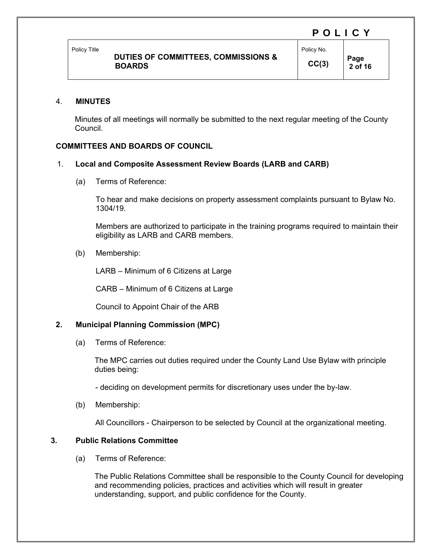Policy Title

 **2 of 16** 

#### 4. **MINUTES**

Minutes of all meetings will normally be submitted to the next regular meeting of the County Council.

# **COMMITTEES AND BOARDS OF COUNCIL**

# 1. **Local and Composite Assessment Review Boards (LARB and CARB)**

(a) Terms of Reference:

To hear and make decisions on property assessment complaints pursuant to Bylaw No. 1304/19.

Members are authorized to participate in the training programs required to maintain their eligibility as LARB and CARB members.

(b) Membership:

LARB – Minimum of 6 Citizens at Large

CARB – Minimum of 6 Citizens at Large

Council to Appoint Chair of the ARB

# **2. Municipal Planning Commission (MPC)**

(a) Terms of Reference:

 The MPC carries out duties required under the County Land Use Bylaw with principle duties being:

- deciding on development permits for discretionary uses under the by-law.

(b) Membership:

All Councillors - Chairperson to be selected by Council at the organizational meeting.

# **3. Public Relations Committee**

(a) Terms of Reference:

 The Public Relations Committee shall be responsible to the County Council for developing and recommending policies, practices and activities which will result in greater understanding, support, and public confidence for the County.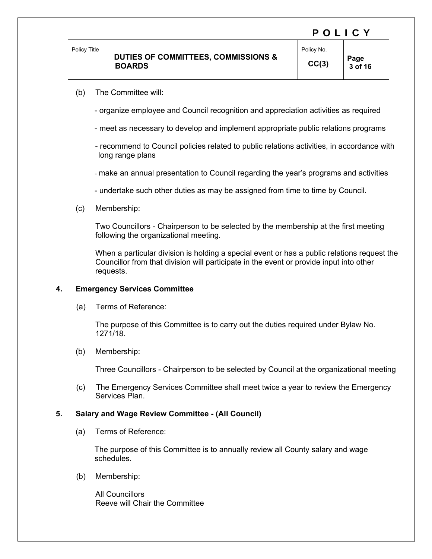### **DUTIES OF COMMITTEES, COMMISSIONS & BOARDS**

POLICY

- (b) The Committee will:
	- organize employee and Council recognition and appreciation activities as required
	- meet as necessary to develop and implement appropriate public relations programs
	- recommend to Council policies related to public relations activities, in accordance with long range plans
	- make an annual presentation to Council regarding the year's programs and activities
	- undertake such other duties as may be assigned from time to time by Council.
- (c) Membership:

Two Councillors - Chairperson to be selected by the membership at the first meeting following the organizational meeting.

 When a particular division is holding a special event or has a public relations request the Councillor from that division will participate in the event or provide input into other requests.

#### **4. Emergency Services Committee**

(a) Terms of Reference:

 The purpose of this Committee is to carry out the duties required under Bylaw No. 1271/18.

(b) Membership:

Three Councillors - Chairperson to be selected by Council at the organizational meeting

(c) The Emergency Services Committee shall meet twice a year to review the Emergency Services Plan.

#### **5. Salary and Wage Review Committee - (All Council)**

(a) Terms of Reference:

 The purpose of this Committee is to annually review all County salary and wage schedules.

(b) Membership:

 All Councillors Reeve will Chair the Committee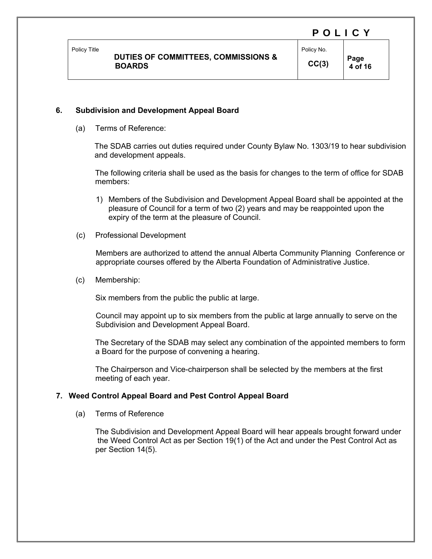Policy Title

Policy No.  $CC(3)$  **Page** 

 **4 of 16** 

# **6. Subdivision and Development Appeal Board**

(a) Terms of Reference:

 The SDAB carries out duties required under County Bylaw No. 1303/19 to hear subdivision and development appeals.

The following criteria shall be used as the basis for changes to the term of office for SDAB members:

- 1) Members of the Subdivision and Development Appeal Board shall be appointed at the pleasure of Council for a term of two (2) years and may be reappointed upon the expiry of the term at the pleasure of Council.
- (c) Professional Development

Members are authorized to attend the annual Alberta Community Planning Conference or appropriate courses offered by the Alberta Foundation of Administrative Justice.

(c) Membership:

Six members from the public the public at large.

Council may appoint up to six members from the public at large annually to serve on the Subdivision and Development Appeal Board.

 The Secretary of the SDAB may select any combination of the appointed members to form a Board for the purpose of convening a hearing.

The Chairperson and Vice-chairperson shall be selected by the members at the first meeting of each year.

# **7. Weed Control Appeal Board and Pest Control Appeal Board**

(a) Terms of Reference

The Subdivision and Development Appeal Board will hear appeals brought forward under the Weed Control Act as per Section 19(1) of the Act and under the Pest Control Act as per Section 14(5).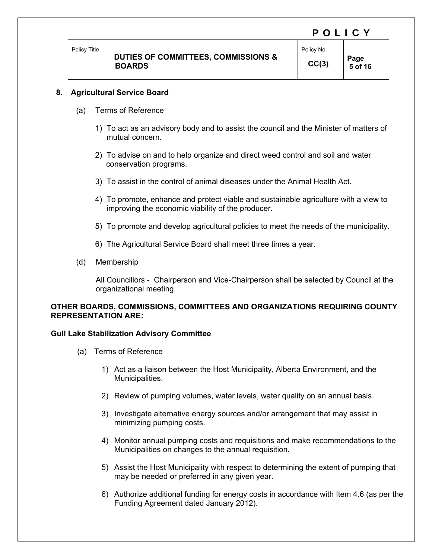# **DUTIES OF COMMITTEES, COMMISSIONS & BOARDS**

 **5 of 16** 

POLICY

### **8. Agricultural Service Board**

- (a) Terms of Reference
	- 1) To act as an advisory body and to assist the council and the Minister of matters of mutual concern.
	- 2) To advise on and to help organize and direct weed control and soil and water conservation programs.
	- 3) To assist in the control of animal diseases under the Animal Health Act.
	- 4) To promote, enhance and protect viable and sustainable agriculture with a view to improving the economic viability of the producer.
	- 5) To promote and develop agricultural policies to meet the needs of the municipality.
	- 6) The Agricultural Service Board shall meet three times a year.
- (d) Membership

All Councillors - Chairperson and Vice-Chairperson shall be selected by Council at the organizational meeting.

### **OTHER BOARDS, COMMISSIONS, COMMITTEES AND ORGANIZATIONS REQUIRING COUNTY REPRESENTATION ARE:**

#### **Gull Lake Stabilization Advisory Committee**

- (a) Terms of Reference
	- 1) Act as a liaison between the Host Municipality, Alberta Environment, and the Municipalities.
	- 2) Review of pumping volumes, water levels, water quality on an annual basis.
	- 3) Investigate alternative energy sources and/or arrangement that may assist in minimizing pumping costs.
	- 4) Monitor annual pumping costs and requisitions and make recommendations to the Municipalities on changes to the annual requisition.
	- 5) Assist the Host Municipality with respect to determining the extent of pumping that may be needed or preferred in any given year.
	- 6) Authorize additional funding for energy costs in accordance with Item 4.6 (as per the Funding Agreement dated January 2012).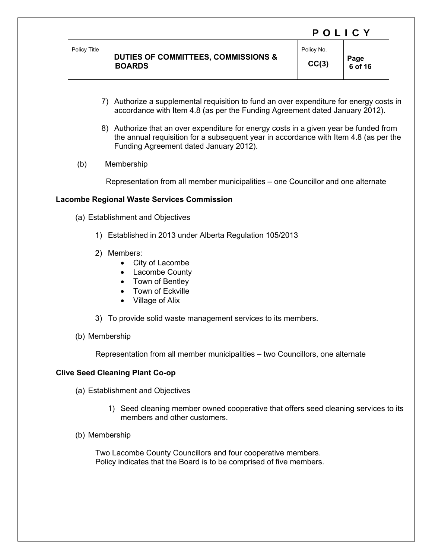|              |                                     | F V L I V T |           |
|--------------|-------------------------------------|-------------|-----------|
| Policy Title | DUTIES OF COMMITTEES, COMMISSIONS & | Policy No.  | Page      |
|              | <b>BOARDS</b>                       | CC(3)       | $6$ of 16 |

7) Authorize a supplemental requisition to fund an over expenditure for energy costs in accordance with Item 4.8 (as per the Funding Agreement dated January 2012).

 $\mathbf{P}$ 

- 8) Authorize that an over expenditure for energy costs in a given year be funded from the annual requisition for a subsequent year in accordance with Item 4.8 (as per the Funding Agreement dated January 2012).
- (b) Membership

Representation from all member municipalities – one Councillor and one alternate

#### **Lacombe Regional Waste Services Commission**

- (a) Establishment and Objectives
	- 1) Established in 2013 under Alberta Regulation 105/2013
	- 2) Members:
		- City of Lacombe
		- Lacombe County
		- Town of Bentley
		- Town of Eckville
		- Village of Alix
	- 3) To provide solid waste management services to its members.
- (b) Membership

Representation from all member municipalities – two Councillors, one alternate

#### **Clive Seed Cleaning Plant Co-op**

- (a) Establishment and Objectives
	- 1) Seed cleaning member owned cooperative that offers seed cleaning services to its members and other customers.
- (b) Membership

 Two Lacombe County Councillors and four cooperative members. Policy indicates that the Board is to be comprised of five members.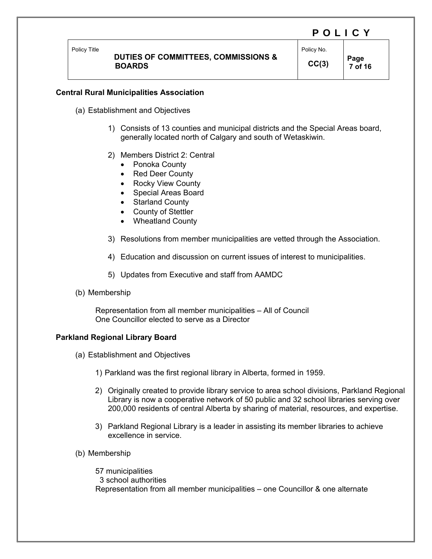# **DUTIES OF COMMITTEES, COMMISSIONS & BOARDS**

Policy No.  $CC(3)$  **Page**  $\frac{7 \text{ of } 4}{ }$ 

 **7 of 16** 

#### **Central Rural Municipalities Association**

- (a) Establishment and Objectives
	- 1) Consists of 13 counties and municipal districts and the Special Areas board, generally located north of Calgary and south of Wetaskiwin.
	- 2) Members District 2: Central
		- Ponoka County
		- Red Deer County
		- Rocky View County
		- Special Areas Board
		- Starland County
		- County of Stettler
		- Wheatland County
	- 3) Resolutions from member municipalities are vetted through the Association.
	- 4) Education and discussion on current issues of interest to municipalities.
	- 5) Updates from Executive and staff from AAMDC
- (b) Membership

 Representation from all member municipalities – All of Council One Councillor elected to serve as a Director

#### **Parkland Regional Library Board**

- (a) Establishment and Objectives
	- 1) Parkland was the first regional library in Alberta, formed in 1959.
	- 2) Originally created to provide library service to area school divisions, Parkland Regional Library is now a cooperative network of 50 public and 32 school libraries serving over 200,000 residents of central Alberta by sharing of material, resources, and expertise.
	- 3) Parkland Regional Library is a leader in assisting its member libraries to achieve excellence in service.
- (b) Membership

 57 municipalities 3 school authorities Representation from all member municipalities – one Councillor & one alternate

# POLICY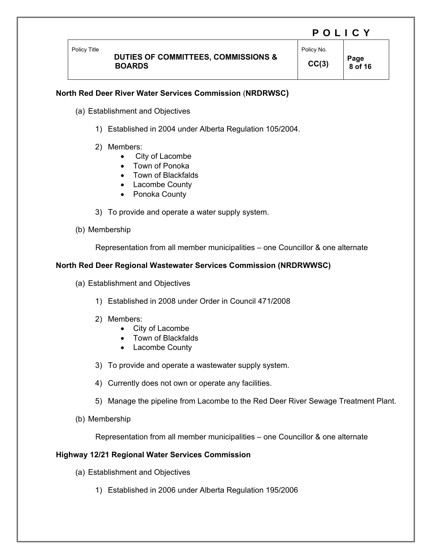Policy Title

Policy No.

 $CC(3)$  **Page**  $8 \text{ of } 4$  **8 of 16** 

# **North Red Deer River Water Services Commission** (**NRDRWSC)**

- (a) Establishment and Objectives
	- 1) Established in 2004 under Alberta Regulation 105/2004.
	- 2) Members:
		- City of Lacombe
		- Town of Ponoka
		- Town of Blackfalds
		- Lacombe County
		- Ponoka County
	- 3) To provide and operate a water supply system.
- (b) Membership

Representation from all member municipalities – one Councillor & one alternate

#### **North Red Deer Regional Wastewater Services Commission (NRDRWWSC)**

- (a) Establishment and Objectives
	- 1) Established in 2008 under Order in Council 471/2008
	- 2) Members:
		- City of Lacombe
		- Town of Blackfalds
		- Lacombe County
	- 3) To provide and operate a wastewater supply system.
	- 4) Currently does not own or operate any facilities.
	- 5) Manage the pipeline from Lacombe to the Red Deer River Sewage Treatment Plant.
- (b) Membership

Representation from all member municipalities – one Councillor & one alternate

#### **Highway 12/21 Regional Water Services Commission**

- (a) Establishment and Objectives
	- 1) Established in 2006 under Alberta Regulation 195/2006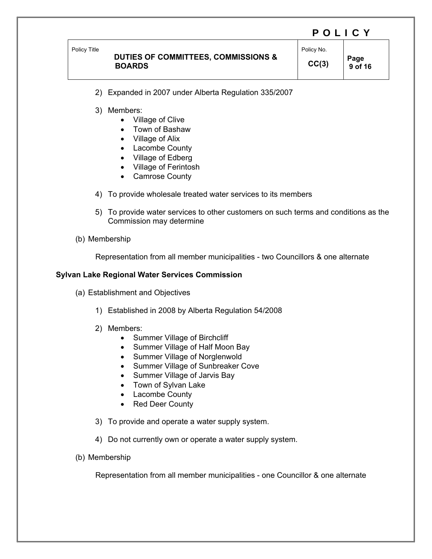Policy Title

# **DUTIES OF COMMITTEES, COMMISSIONS & BOARDS**

Policy No.

 $CC(3)$  **Page 9 of 16** 

- 2) Expanded in 2007 under Alberta Regulation 335/2007
- 3) Members:
	- Village of Clive
	- Town of Bashaw
	- Village of Alix
	- Lacombe County
	- Village of Edberg
	- Village of Ferintosh
	- Camrose County
- 4) To provide wholesale treated water services to its members
- 5) To provide water services to other customers on such terms and conditions as the Commission may determine
- (b) Membership

Representation from all member municipalities - two Councillors & one alternate

#### **Sylvan Lake Regional Water Services Commission**

- (a) Establishment and Objectives
	- 1) Established in 2008 by Alberta Regulation 54/2008
	- 2) Members:
		- Summer Village of Birchcliff
		- Summer Village of Half Moon Bay
		- Summer Village of Norglenwold
		- Summer Village of Sunbreaker Cove
		- Summer Village of Jarvis Bay
		- Town of Sylvan Lake
		- Lacombe County
		- Red Deer County
	- 3) To provide and operate a water supply system.
	- 4) Do not currently own or operate a water supply system.
- (b) Membership

Representation from all member municipalities - one Councillor & one alternate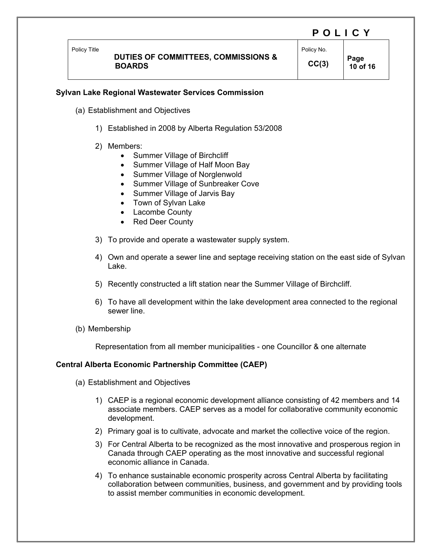Policy Title

# **DUTIES OF COMMITTEES, COMMISSIONS & BOARDS**

Policy No.

 $CC(3)$  **Page 10 of 16** 

# **Sylvan Lake Regional Wastewater Services Commission**

- (a) Establishment and Objectives
	- 1) Established in 2008 by Alberta Regulation 53/2008
	- 2) Members:
		- Summer Village of Birchcliff
		- Summer Village of Half Moon Bay
		- Summer Village of Norglenwold
		- Summer Village of Sunbreaker Cove
		- Summer Village of Jarvis Bay
		- Town of Sylvan Lake
		- Lacombe County
		- Red Deer County
	- 3) To provide and operate a wastewater supply system.
	- 4) Own and operate a sewer line and septage receiving station on the east side of Sylvan Lake.
	- 5) Recently constructed a lift station near the Summer Village of Birchcliff.
	- 6) To have all development within the lake development area connected to the regional sewer line.
- (b) Membership

Representation from all member municipalities - one Councillor & one alternate

### **Central Alberta Economic Partnership Committee (CAEP)**

- (a) Establishment and Objectives
	- 1) CAEP is a regional economic development alliance consisting of 42 members and 14 associate members. CAEP serves as a model for collaborative community economic development.
	- 2) Primary goal is to cultivate, advocate and market the collective voice of the region.
	- 3) For Central Alberta to be recognized as the most innovative and prosperous region in Canada through CAEP operating as the most innovative and successful regional economic alliance in Canada.
	- 4) To enhance sustainable economic prosperity across Central Alberta by facilitating collaboration between communities, business, and government and by providing tools to assist member communities in economic development.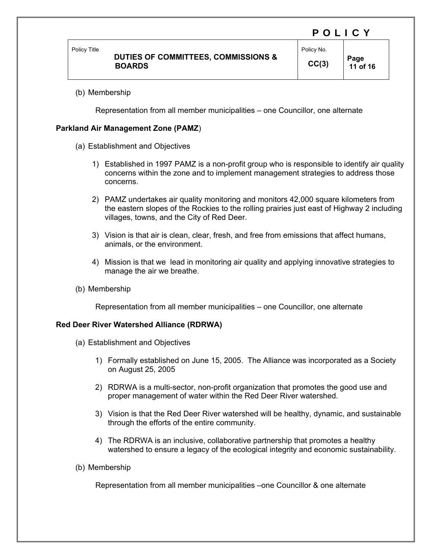Policy Title

#### **DUTIES OF COMMITTEES, COMMISSIONS & BOARDS**

Policy No.  $CC(3)$  **Page** 

 **11 of 16** 

#### (b) Membership

Representation from all member municipalities – one Councillor, one alternate

#### **Parkland Air Management Zone (PAMZ**)

- (a) Establishment and Objectives
	- 1) Established in 1997 PAMZ is a non-profit group who is responsible to identify air quality concerns within the zone and to implement management strategies to address those concerns.
	- 2) PAMZ undertakes air quality monitoring and monitors 42,000 square kilometers from the eastern slopes of the Rockies to the rolling prairies just east of Highway 2 including villages, towns, and the City of Red Deer.
	- 3) Vision is that air is clean, clear, fresh, and free from emissions that affect humans, animals, or the environment.
	- 4) Mission is that we lead in monitoring air quality and applying innovative strategies to manage the air we breathe.
- (b) Membership

Representation from all member municipalities – one Councillor, one alternate

#### **Red Deer River Watershed Alliance (RDRWA)**

- (a) Establishment and Objectives
	- 1) Formally established on June 15, 2005. The Alliance was incorporated as a Society on August 25, 2005
	- 2) RDRWA is a multi-sector, non-profit organization that promotes the good use and proper management of water within the Red Deer River watershed.
	- 3) Vision is that the Red Deer River watershed will be healthy, dynamic, and sustainable through the efforts of the entire community.
	- 4) The RDRWA is an inclusive, collaborative partnership that promotes a healthy watershed to ensure a legacy of the ecological integrity and economic sustainability.
- (b) Membership

Representation from all member municipalities –one Councillor & one alternate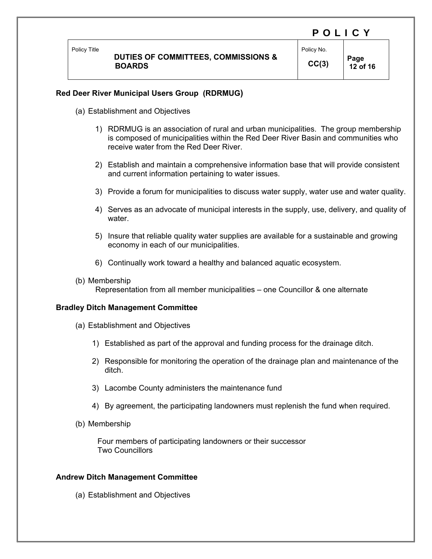# **DUTIES OF COMMITTEES, COMMISSIONS & BOARDS**

 **12 of 16** 

POLICY

# **Red Deer River Municipal Users Group (RDRMUG)**

- (a) Establishment and Objectives
	- 1) RDRMUG is an association of rural and urban municipalities. The group membership is composed of municipalities within the Red Deer River Basin and communities who receive water from the Red Deer River.
	- 2) Establish and maintain a comprehensive information base that will provide consistent and current information pertaining to water issues.
	- 3) Provide a forum for municipalities to discuss water supply, water use and water quality.
	- 4) Serves as an advocate of municipal interests in the supply, use, delivery, and quality of water.
	- 5) Insure that reliable quality water supplies are available for a sustainable and growing economy in each of our municipalities.
	- 6) Continually work toward a healthy and balanced aquatic ecosystem.
- (b) Membership Representation from all member municipalities – one Councillor & one alternate

#### **Bradley Ditch Management Committee**

- (a) Establishment and Objectives
	- 1) Established as part of the approval and funding process for the drainage ditch.
	- 2) Responsible for monitoring the operation of the drainage plan and maintenance of the ditch.
	- 3) Lacombe County administers the maintenance fund
	- 4) By agreement, the participating landowners must replenish the fund when required.
- (b) Membership

 Four members of participating landowners or their successor Two Councillors

#### **Andrew Ditch Management Committee**

(a) Establishment and Objectives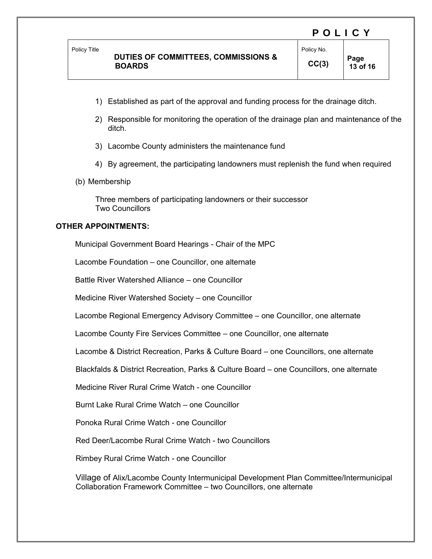#### Policy Title

# **DUTIES OF COMMITTEES, COMMISSIONS & BOARDS**

- 1) Established as part of the approval and funding process for the drainage ditch.
- 2) Responsible for monitoring the operation of the drainage plan and maintenance of the ditch.
- 3) Lacombe County administers the maintenance fund
- 4) By agreement, the participating landowners must replenish the fund when required
- (b) Membership

 Three members of participating landowners or their successor Two Councillors

## **OTHER APPOINTMENTS:**

Municipal Government Board Hearings - Chair of the MPC

Lacombe Foundation – one Councillor, one alternate

Battle River Watershed Alliance – one Councillor

Medicine River Watershed Society – one Councillor

Lacombe Regional Emergency Advisory Committee – one Councillor, one alternate

Lacombe County Fire Services Committee – one Councillor, one alternate

Lacombe & District Recreation, Parks & Culture Board – one Councillors, one alternate

Blackfalds & District Recreation, Parks & Culture Board – one Councillors, one alternate

Medicine River Rural Crime Watch - one Councillor

Burnt Lake Rural Crime Watch – one Councillor

Ponoka Rural Crime Watch - one Councillor

Red Deer/Lacombe Rural Crime Watch - two Councillors

Rimbey Rural Crime Watch - one Councillor

 Village of Alix/Lacombe County Intermunicipal Development Plan Committee/Intermunicipal Collaboration Framework Committee – two Councillors, one alternate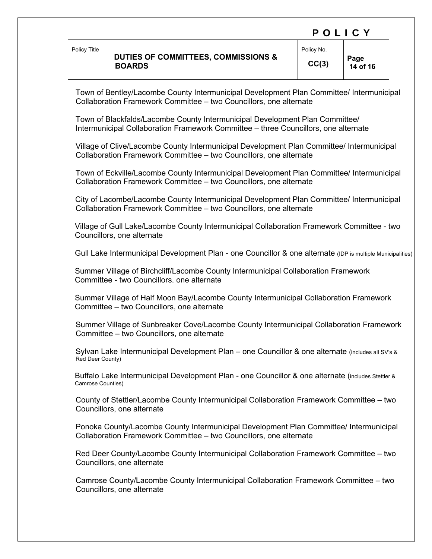#### POLICY Policy Title  **DUTIES OF COMMITTEES, COMMISSIONS & BOARDS**  Policy No.  $CC(3)$  **Page 14 of 16**

 Town of Bentley/Lacombe County Intermunicipal Development Plan Committee/ Intermunicipal Collaboration Framework Committee – two Councillors, one alternate

 Town of Blackfalds/Lacombe County Intermunicipal Development Plan Committee/ Intermunicipal Collaboration Framework Committee – three Councillors, one alternate

 Village of Clive/Lacombe County Intermunicipal Development Plan Committee/ Intermunicipal Collaboration Framework Committee – two Councillors, one alternate

 Town of Eckville/Lacombe County Intermunicipal Development Plan Committee/ Intermunicipal Collaboration Framework Committee – two Councillors, one alternate

 City of Lacombe/Lacombe County Intermunicipal Development Plan Committee/ Intermunicipal Collaboration Framework Committee – two Councillors, one alternate

Village of Gull Lake/Lacombe County Intermunicipal Collaboration Framework Committee - two Councillors, one alternate

Gull Lake Intermunicipal Development Plan - one Councillor & one alternate (IDP is multiple Municipalities)

Summer Village of Birchcliff/Lacombe County Intermunicipal Collaboration Framework Committee - two Councillors. one alternate

Summer Village of Half Moon Bay/Lacombe County Intermunicipal Collaboration Framework Committee – two Councillors, one alternate

 Summer Village of Sunbreaker Cove/Lacombe County Intermunicipal Collaboration Framework Committee – two Councillors, one alternate

 Sylvan Lake Intermunicipal Development Plan – one Councillor & one alternate (includes all SV's & Red Deer County)

Buffalo Lake Intermunicipal Development Plan - one Councillor & one alternate (includes Stettler & Camrose Counties)

 County of Stettler/Lacombe County Intermunicipal Collaboration Framework Committee – two Councillors, one alternate

 Ponoka County/Lacombe County Intermunicipal Development Plan Committee/ Intermunicipal Collaboration Framework Committee – two Councillors, one alternate

 Red Deer County/Lacombe County Intermunicipal Collaboration Framework Committee – two Councillors, one alternate

 Camrose County/Lacombe County Intermunicipal Collaboration Framework Committee – two Councillors, one alternate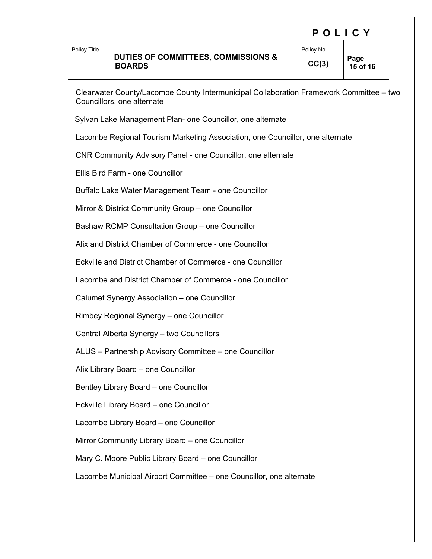## **DUTIES OF COMMITTEES, COMMISSIONS & BOARDS**

POLICY Policy No.

 Clearwater County/Lacombe County Intermunicipal Collaboration Framework Committee – two Councillors, one alternate

Sylvan Lake Management Plan- one Councillor, one alternate

Lacombe Regional Tourism Marketing Association, one Councillor, one alternate

CNR Community Advisory Panel - one Councillor, one alternate

Ellis Bird Farm - one Councillor

Buffalo Lake Water Management Team - one Councillor

Mirror & District Community Group – one Councillor

Bashaw RCMP Consultation Group – one Councillor

Alix and District Chamber of Commerce - one Councillor

Eckville and District Chamber of Commerce - one Councillor

Lacombe and District Chamber of Commerce - one Councillor

Calumet Synergy Association – one Councillor

Rimbey Regional Synergy – one Councillor

Central Alberta Synergy – two Councillors

ALUS – Partnership Advisory Committee – one Councillor

Alix Library Board – one Councillor

Bentley Library Board – one Councillor

Eckville Library Board – one Councillor

Lacombe Library Board – one Councillor

Mirror Community Library Board – one Councillor

Mary C. Moore Public Library Board – one Councillor

Lacombe Municipal Airport Committee – one Councillor, one alternate